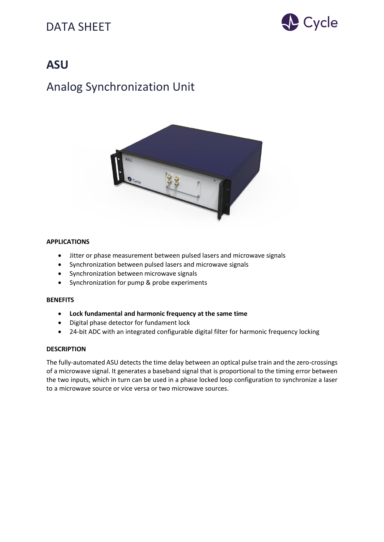

## **ASU**

# Analog Synchronization Unit



### **APPLICATIONS**

- Jitter or phase measurement between pulsed lasers and microwave signals
- Synchronization between pulsed lasers and microwave signals
- Synchronization between microwave signals
- Synchronization for pump & probe experiments

#### **BENEFITS**

- **Lock fundamental and harmonic frequency at the same time**
- Digital phase detector for fundament lock
- 24-bit ADC with an integrated configurable digital filter for harmonic frequency locking

#### **DESCRIPTION**

The fully-automated ASU detects the time delay between an optical pulse train and the zero-crossings of a microwave signal. It generates a baseband signal that is proportional to the timing error between the two inputs, which in turn can be used in a phase locked loop configuration to synchronize a laser to a microwave source or vice versa or two microwave sources.